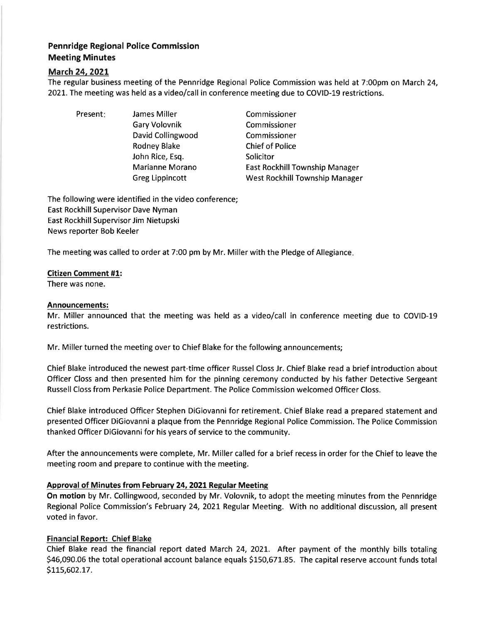# Pennridge Regional Police Commission Meeting Minutes

### March 24, 2021

The regular business meeting of the Pennridge Regional Police Commission was held at 7:00pm on March 24, 2021. The meeting was held as a video/call in conference meeting due to COVID-19 restrictions.

Present: James Miller Gary Volovnik David Collingwood Rodney Blake John Rice, Esq. Marianne Morano Greg Lippincott

Commissioner Commissioner Commissioner Chief of Police **Solicitor** East Rockhill Township Manager West Rockhill Township Manager

The following were identified in the video conference; East Rockhill Supervisor Dave Nyman East Rockhill Supervisor Jim Nietupski News reporter Bob Keeler

The meeting was called to order at 7:00 pm by Mr. Miller with the Pledge of Allegiance

### Citizen Comment #1:

There was none.

### Announcements:

Mr. Miller announced that the meeting was held as a video/call in conference meeting due to COVID-19 restrictions.

Mr. Miller turned the meeting over to Chief Blake for the following announcements;

Chief Blake introduced the newest part-time officer Russel Closs Jr. Chief Blake read a brief introduction about Officer Closs and then presented him for the pinning ceremony conducted by his father Detective Sergeant Russell Closs from Perkasie Police Department. The Police Commission welcomed Officer Closs.

Chief Blake introduced Officer Stephen DiGiovanni for retirement. Chief Blake read a prepared statement and presented Officer DiGiovannia plaque from the Pennridge Regional Police Commission. The Police Commission thanked Officer DiGiovanni for his years of seruice to the community.

After the announcements were complete, Mr. Miller called for a brief recess in order for the Chief to leave the meeting room and prepare to continue with the meeting.

## Approval of Minutes from February 24,2021Regular Meetins

On motion by Mr. Collingwood, seconded by Mr. Volovnik, to adopt the meeting minutes from the Pennridge Regional Police Commission's February 24, 2021 Regular Meeting. With no additional discussion, all present voted in favor.

### Financial Report: Chief Blake

Chief Blake read the financial report dated March 24, 2O2I. After payment of the monthly bills totaling 546,090.06 the total operational account balance equals S150,671.85. The capital reserve account funds total 5LLs,6oz.L7.